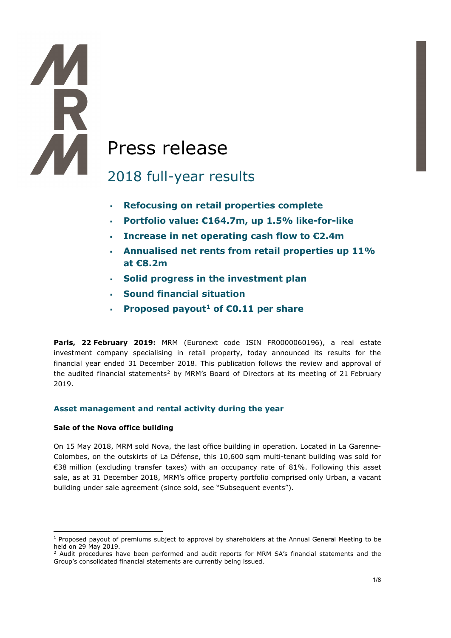# A Press release

## 2018 full-year results

- **Refocusing on retail properties complete**
- **Portfolio value: €164.7m, up 1.5% like-for-like**
- **Increase in net operating cash flow to €2.4m**
- **Annualised net rents from retail properties up 11% at €8.2m**
- **Solid progress in the investment plan**
- **Sound financial situation**
- **Proposed payout[1](#page-0-0) of €0.11 per share**

**Paris, 22 February 2019:** MRM (Euronext code ISIN FR0000060196), a real estate investment company specialising in retail property, today announced its results for the financial year ended 31 December 2018. This publication follows the review and approval of the audited financial statements<sup>[2](#page-0-1)</sup> by MRM's Board of Directors at its meeting of 21 February 2019.

#### **Asset management and rental activity during the year**

#### **Sale of the Nova office building**

-

**THE** 

On 15 May 2018, MRM sold Nova, the last office building in operation. Located in La Garenne-Colombes, on the outskirts of La Défense, this 10,600 sqm multi-tenant building was sold for €38 million (excluding transfer taxes) with an occupancy rate of 81%. Following this asset sale, as at 31 December 2018, MRM's office property portfolio comprised only Urban, a vacant building under sale agreement (since sold, see "Subsequent events").

<span id="page-0-0"></span><sup>&</sup>lt;sup>1</sup> Proposed payout of premiums subject to approval by shareholders at the Annual General Meeting to be held on 29 May 2019.

<span id="page-0-1"></span><sup>&</sup>lt;sup>2</sup> Audit procedures have been performed and audit reports for MRM SA's financial statements and the Group's consolidated financial statements are currently being issued.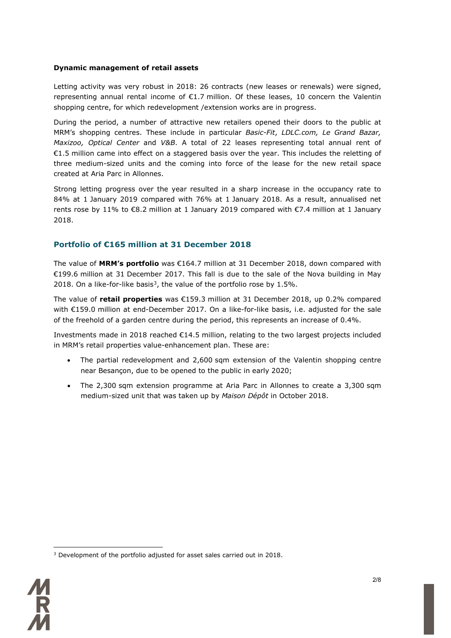#### **Dynamic management of retail assets**

Letting activity was very robust in 2018: 26 contracts (new leases or renewals) were signed, representing annual rental income of €1.7 million. Of these leases, 10 concern the Valentin shopping centre, for which redevelopment /extension works are in progress.

During the period, a number of attractive new retailers opened their doors to the public at MRM's shopping centres. These include in particular *Basic-Fit*, *LDLC.com, Le Grand Bazar, Maxizoo, Optical Center* and *V&B*. A total of 22 leases representing total annual rent of €1.5 million came into effect on a staggered basis over the year. This includes the reletting of three medium-sized units and the coming into force of the lease for the new retail space created at Aria Parc in Allonnes.

Strong letting progress over the year resulted in a sharp increase in the occupancy rate to 84% at 1 January 2019 compared with 76% at 1 January 2018. As a result, annualised net rents rose by 11% to €8.2 million at 1 January 2019 compared with €7.4 million at 1 January 2018.

#### **Portfolio of €165 million at 31 December 2018**

The value of **MRM's portfolio** was €164.7 million at 31 December 2018, down compared with €199.6 million at 31 December 2017. This fall is due to the sale of the Nova building in May 2018. On a like-for-like basis<sup>[3](#page-1-0)</sup>, the value of the portfolio rose by 1.5%.

The value of **retail properties** was €159.3 million at 31 December 2018, up 0.2% compared with €159.0 million at end-December 2017. On a like-for-like basis, i.e. adjusted for the sale of the freehold of a garden centre during the period, this represents an increase of 0.4%.

Investments made in 2018 reached €14.5 million, relating to the two largest projects included in MRM's retail properties value-enhancement plan. These are:

- The partial redevelopment and 2,600 sqm extension of the Valentin shopping centre near Besançon, due to be opened to the public in early 2020;
- The 2,300 sqm extension programme at Aria Parc in Allonnes to create a 3,300 sqm medium-sized unit that was taken up by *Maison Dépôt* in October 2018.

<span id="page-1-0"></span><sup>&</sup>lt;u>.</u> <sup>3</sup> Development of the portfolio adjusted for asset sales carried out in 2018.

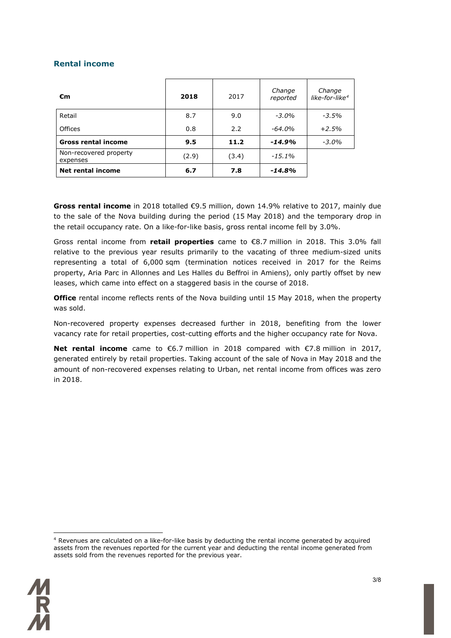#### **Rental income**

| €m                                 | 2018  | 2017  | Change<br>reported | Change<br>like-for-like <sup>4</sup> |
|------------------------------------|-------|-------|--------------------|--------------------------------------|
| Retail                             | 8.7   | 9.0   | $-3.0\%$           | $-3.5\%$                             |
| <b>Offices</b>                     | 0.8   | 2.2   | $-64.0\%$          | $+2.5%$                              |
| <b>Gross rental income</b>         | 9.5   | 11.2  | $-14.9%$           | $-3.0\%$                             |
| Non-recovered property<br>expenses | (2.9) | (3.4) | $-15.1\%$          |                                      |
| <b>Net rental income</b>           | 6.7   | 7.8   | $-14.8%$           |                                      |

**Gross rental income** in 2018 totalled €9.5 million, down 14.9% relative to 2017, mainly due to the sale of the Nova building during the period (15 May 2018) and the temporary drop in the retail occupancy rate. On a like-for-like basis, gross rental income fell by 3.0%.

Gross rental income from **retail properties** came to €8.7 million in 2018. This 3.0% fall relative to the previous year results primarily to the vacating of three medium-sized units representing a total of 6,000 sqm (termination notices received in 2017 for the Reims property, Aria Parc in Allonnes and Les Halles du Beffroi in Amiens), only partly offset by new leases, which came into effect on a staggered basis in the course of 2018.

**Office** rental income reflects rents of the Nova building until 15 May 2018, when the property was sold.

Non-recovered property expenses decreased further in 2018, benefiting from the lower vacancy rate for retail properties, cost-cutting efforts and the higher occupancy rate for Nova.

**Net rental income** came to €6.7 million in 2018 compared with €7.8 million in 2017, generated entirely by retail properties. Taking account of the sale of Nova in May 2018 and the amount of non-recovered expenses relating to Urban, net rental income from offices was zero in 2018.

<span id="page-2-0"></span><sup>&</sup>lt;u>.</u> <sup>4</sup> Revenues are calculated on a like-for-like basis by deducting the rental income generated by acquired assets from the revenues reported for the current year and deducting the rental income generated from assets sold from the revenues reported for the previous year.

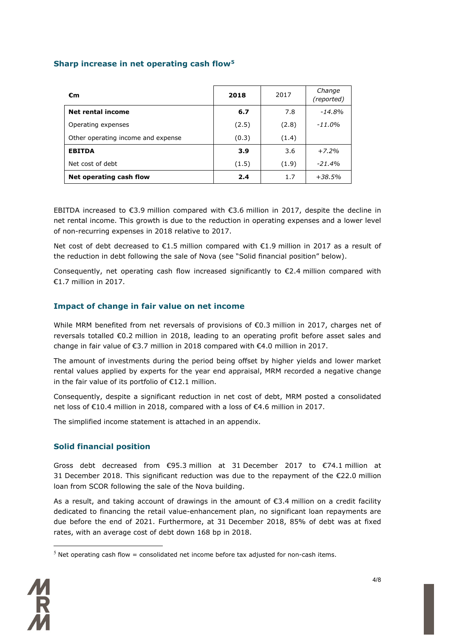#### **Sharp increase in net operating cash flow[5](#page-3-0)**

| €m                                 | 2018  | 2017  | Change<br>(reported) |
|------------------------------------|-------|-------|----------------------|
| Net rental income                  | 6.7   | 7.8   | $-14.8%$             |
| Operating expenses                 | (2.5) | (2.8) | -11.0%               |
| Other operating income and expense | (0.3) | (1.4) |                      |
| <b>EBITDA</b>                      | 3.9   | 3.6   | $+7.2%$              |
| Net cost of debt                   | (1.5) | (1.9) | $-21.4%$             |
| Net operating cash flow            | 2.4   | 1.7   | $+38.5%$             |

EBITDA increased to €3.9 million compared with €3.6 million in 2017, despite the decline in net rental income. This growth is due to the reduction in operating expenses and a lower level of non-recurring expenses in 2018 relative to 2017.

Net cost of debt decreased to  $\epsilon$ 1.5 million compared with  $\epsilon$ 1.9 million in 2017 as a result of the reduction in debt following the sale of Nova (see "Solid financial position" below).

Consequently, net operating cash flow increased significantly to  $\epsilon$ 2.4 million compared with €1.7 million in 2017.

#### **Impact of change in fair value on net income**

While MRM benefited from net reversals of provisions of €0.3 million in 2017, charges net of reversals totalled €0.2 million in 2018, leading to an operating profit before asset sales and change in fair value of  $\epsilon$ 3.7 million in 2018 compared with  $\epsilon$ 4.0 million in 2017.

The amount of investments during the period being offset by higher yields and lower market rental values applied by experts for the year end appraisal, MRM recorded a negative change in the fair value of its portfolio of €12.1 million.

Consequently, despite a significant reduction in net cost of debt, MRM posted a consolidated net loss of €10.4 million in 2018, compared with a loss of €4.6 million in 2017.

The simplified income statement is attached in an appendix.

#### **Solid financial position**

Gross debt decreased from €95.3 million at 31 December 2017 to €74.1 million at 31 December 2018. This significant reduction was due to the repayment of the €22.0 million loan from SCOR following the sale of the Nova building.

As a result, and taking account of drawings in the amount of €3.4 million on a credit facility dedicated to financing the retail value-enhancement plan, no significant loan repayments are due before the end of 2021. Furthermore, at 31 December 2018, 85% of debt was at fixed rates, with an average cost of debt down 168 bp in 2018.

<span id="page-3-0"></span> $5$  Net operating cash flow = consolidated net income before tax adjusted for non-cash items.

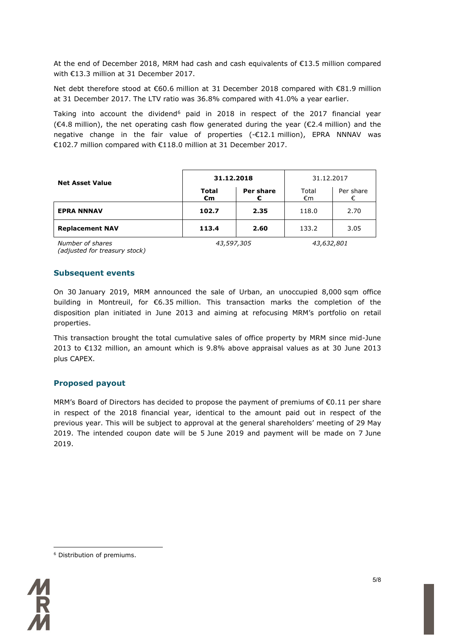At the end of December 2018, MRM had cash and cash equivalents of €13.5 million compared with €13.3 million at 31 December 2017.

Net debt therefore stood at €60.6 million at 31 December 2018 compared with €81.9 million at 31 December 2017. The LTV ratio was 36.8% compared with 41.0% a year earlier.

Taking into account the dividend<sup>6</sup> paid in 2018 in respect of the 2017 financial year  $(€4.8$  million), the net operating cash flow generated during the year  $(€2.4$  million) and the negative change in the fair value of properties (-€12.1 million), EPRA NNNAV was €102.7 million compared with €118.0 million at 31 December 2017.

| <b>Net Asset Value</b> | 31.12.2018         |                | 31.12.2017  |           |
|------------------------|--------------------|----------------|-------------|-----------|
|                        | <b>Total</b><br>€m | Per share<br>€ | Total<br>€m | Per share |
| <b>EPRA NNNAV</b>      | 102.7              | 2.35           | 118.0       | 2.70      |
| <b>Replacement NAV</b> | 113.4              | 2.60           | 133.2       | 3.05      |
| Number of shares       | 43,597,305         |                | 43,632,801  |           |

*Number of shares (adjusted for treasury stock)*

#### **Subsequent events**

On 30 January 2019, MRM announced the sale of Urban, an unoccupied 8,000 sqm office building in Montreuil, for €6.35 million. This transaction marks the completion of the disposition plan initiated in June 2013 and aiming at refocusing MRM's portfolio on retail properties.

This transaction brought the total cumulative sales of office property by MRM since mid-June 2013 to €132 million, an amount which is 9.8% above appraisal values as at 30 June 2013 plus CAPEX.

#### **Proposed payout**

MRM's Board of Directors has decided to propose the payment of premiums of €0.11 per share in respect of the 2018 financial year, identical to the amount paid out in respect of the previous year. This will be subject to approval at the general shareholders' meeting of 29 May 2019. The intended coupon date will be 5 June 2019 and payment will be made on 7 June 2019.

<span id="page-4-0"></span><sup>&</sup>lt;u>.</u> <sup>6</sup> Distribution of premiums.

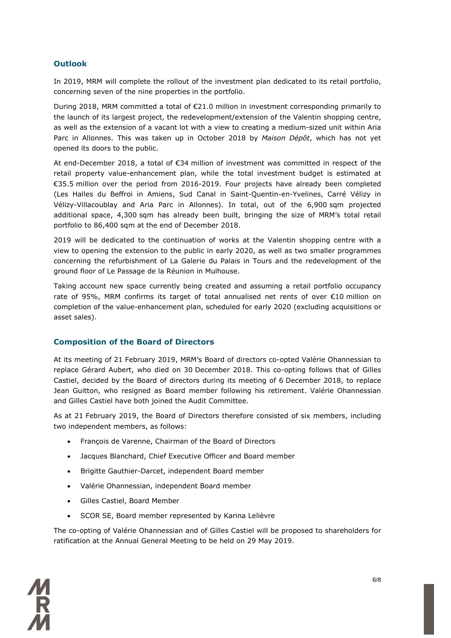#### **Outlook**

In 2019, MRM will complete the rollout of the investment plan dedicated to its retail portfolio, concerning seven of the nine properties in the portfolio.

During 2018, MRM committed a total of €21.0 million in investment corresponding primarily to the launch of its largest project, the redevelopment/extension of the Valentin shopping centre, as well as the extension of a vacant lot with a view to creating a medium-sized unit within Aria Parc in Allonnes. This was taken up in October 2018 by *Maison Dépôt*, which has not yet opened its doors to the public.

At end-December 2018, a total of €34 million of investment was committed in respect of the retail property value-enhancement plan, while the total investment budget is estimated at €35.5 million over the period from 2016-2019. Four projects have already been completed (Les Halles du Beffroi in Amiens, Sud Canal in Saint-Quentin-en-Yvelines, Carré Vélizy in Vélizy-Villacoublay and Aria Parc in Allonnes). In total, out of the 6,900 sqm projected additional space, 4,300 sqm has already been built, bringing the size of MRM's total retail portfolio to 86,400 sqm at the end of December 2018.

2019 will be dedicated to the continuation of works at the Valentin shopping centre with a view to opening the extension to the public in early 2020, as well as two smaller programmes concerning the refurbishment of La Galerie du Palais in Tours and the redevelopment of the ground floor of Le Passage de la Réunion in Mulhouse.

Taking account new space currently being created and assuming a retail portfolio occupancy rate of 95%, MRM confirms its target of total annualised net rents of over €10 million on completion of the value-enhancement plan, scheduled for early 2020 (excluding acquisitions or asset sales).

#### **Composition of the Board of Directors**

At its meeting of 21 February 2019, MRM's Board of directors co-opted Valérie Ohannessian to replace Gérard Aubert, who died on 30 December 2018. This co-opting follows that of Gilles Castiel, decided by the Board of directors during its meeting of 6 December 2018, to replace Jean Guitton, who resigned as Board member following his retirement. Valérie Ohannessian and Gilles Castiel have both joined the Audit Committee.

As at 21 February 2019, the Board of Directors therefore consisted of six members, including two independent members, as follows:

- François de Varenne, Chairman of the Board of Directors
- Jacques Blanchard, Chief Executive Officer and Board member
- Brigitte Gauthier-Darcet, independent Board member
- Valérie Ohannessian, independent Board member
- Gilles Castiel, Board Member
- SCOR SE, Board member represented by Karina Lelièvre

The co-opting of Valérie Ohannessian and of Gilles Castiel will be proposed to shareholders for ratification at the Annual General Meeting to be held on 29 May 2019.

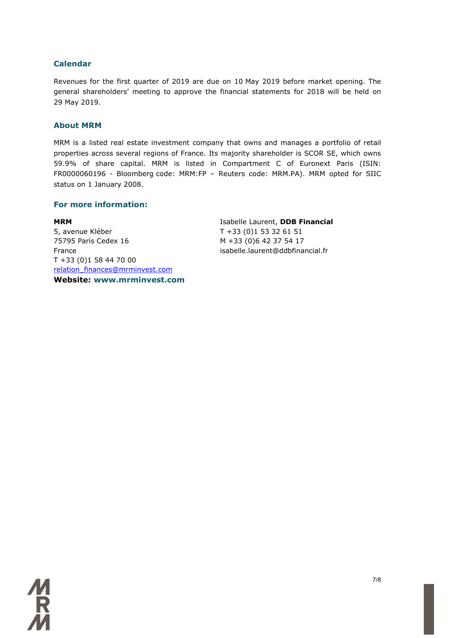#### **Calendar**

Revenues for the first quarter of 2019 are due on 10 May 2019 before market opening. The general shareholders' meeting to approve the financial statements for 2018 will be held on 29 May 2019.

#### **About MRM**

MRM is a listed real estate investment company that owns and manages a portfolio of retail properties across several regions of France. Its majority shareholder is SCOR SE, which owns 59.9% of share capital. MRM is listed in Compartment C of Euronext Paris (ISIN: FR0000060196 - Bloomberg code: MRM:FP – Reuters code: MRM.PA). MRM opted for SIIC status on 1 January 2008.

#### **For more information:**

**MRM** 5, avenue Kléber 75795 Paris Cedex 16 France T +33 (0)1 58 44 70 00 [relation\\_finances@mrminvest.com](mailto:relation_finances@mrminvest.com) **Website: www.mrminvest.com** Isabelle Laurent, **DDB Financial** T +33 (0)1 53 32 61 51 M +33 (0)6 42 37 54 17 isabelle.laurent@ddbfinancial.fr